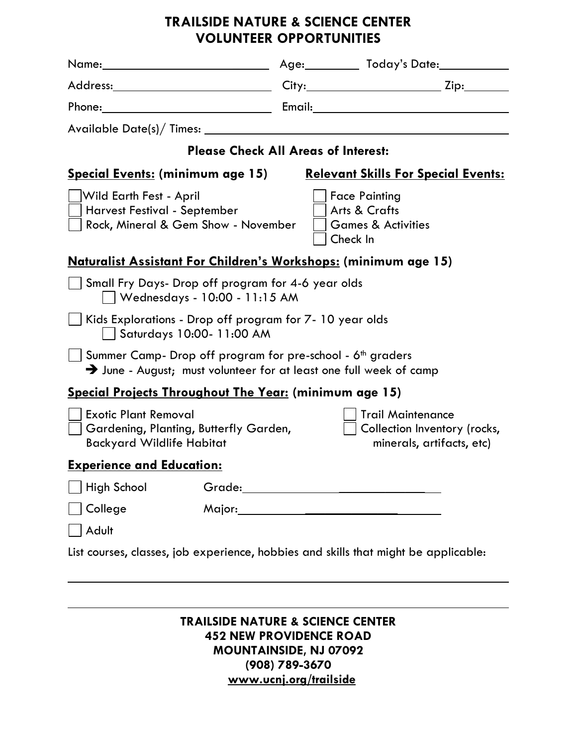## **TRAILSIDE NATURE & SCIENCE CENTER VOLUNTEER OPPORTUNITIES**

|                                                                                                                                                          |  | Age: ___________ Today's Date: _____________                                          |
|----------------------------------------------------------------------------------------------------------------------------------------------------------|--|---------------------------------------------------------------------------------------|
|                                                                                                                                                          |  |                                                                                       |
|                                                                                                                                                          |  |                                                                                       |
|                                                                                                                                                          |  |                                                                                       |
| <b>Please Check All Areas of Interest:</b>                                                                                                               |  |                                                                                       |
| <b>Special Events: (minimum age 15)</b>                                                                                                                  |  | <u><b>Relevant Skills For Special Events:</b></u>                                     |
| Wild Earth Fest - April<br>Harvest Festival - September<br>Rock, Mineral & Gem Show - November                                                           |  | <b>Face Painting</b><br>Arts & Crafts<br><b>Games &amp; Activities</b><br>Check In    |
| <u>Naturalist Assistant For Children's Workshops:</u> (minimum age 15)                                                                                   |  |                                                                                       |
| Small Fry Days- Drop off program for 4-6 year olds<br>  Wednesdays - 10:00 - 11:15 AM                                                                    |  |                                                                                       |
| Kids Explorations - Drop off program for 7-10 year olds<br>Saturdays 10:00- 11:00 AM                                                                     |  |                                                                                       |
| Summer Camp- Drop off program for pre-school - 6 <sup>th</sup> graders<br>$\rightarrow$ June - August; must volunteer for at least one full week of camp |  |                                                                                       |
| <b>Special Projects Throughout The Year: (minimum age 15)</b>                                                                                            |  |                                                                                       |
| <b>Exotic Plant Removal</b><br>  Gardening, Planting, Butterfly Garden,<br><b>Backyard Wildlife Habitat</b>                                              |  | <b>Trail Maintenance</b><br>Collection Inventory (rocks,<br>minerals, artifacts, etc) |
| <b>Experience and Education:</b>                                                                                                                         |  |                                                                                       |
| <b>High School</b>                                                                                                                                       |  |                                                                                       |
| College                                                                                                                                                  |  |                                                                                       |
| Adult                                                                                                                                                    |  |                                                                                       |
| List courses, classes, job experience, hobbies and skills that might be applicable:                                                                      |  |                                                                                       |
|                                                                                                                                                          |  |                                                                                       |

## **TRAILSIDE NATURE & SCIENCE CENTER 452 NEW PROVIDENCE ROAD MOUNTAINSIDE, NJ 07092 (908) 789-3670 [www.ucnj.org/trailside](http://www.ucnj.org/trailside)**